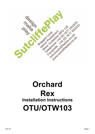

# **Orchard Rex Installation Instructions OTU/OTW103**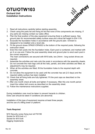### **OTU/OTW103 Orchard Unit**

**Installation Instructions**

**SUICILIANS** 

- 1. Read all instructions carefully before starting assembly.
- 2. Check using the parts list and fixing kit list that none of the components are missing. If any parts are missing contact our sales office.
- 3. Plan the final position of the play equipment ensuring there is sufficient space. See ground plan for recommended safety surface area and critical fall height to EN-1176.
- 4. Excavate the foundation holes in accordance with the ground plan. Orchard is designed to be installed onto a level site.
- 5. Fit the ground shoes OPA001/OPA002 to the bottom of the required posts, following the instruction sheet.
- 6. Erect the main posts into the foundation holes. Each post is numbered, and marked with an X on one end. Follow the post assembly sheet and ground plan to erect each post in the correct sequence.

The main connections are secured with M16 bolts, two 24mm - long socket drives are required.

- 7. Assemble the activities and nets onto the posts in accordance with the assembly sheets. Do not concrete the main legs until all the nets, panels, and other activities are fitted, as adjustment's may be required.
- 8. When all the activities are fitted, fill the foundation holes to the required depth with concrete.
- 9. Do not allow the equipment to be used until the concrete has set (2-3 days) and the required safety surface has been installed.
- 10. Check that all fixing bolts are fully tightened. Fit the post caps as described on the assembly sheet.
- 11. After one month check all bolts and tighten if necessary. After this one month period insert the rubber bolt covers as described on the assembly sheet.
- 12. Follow the maintenance instructions supplied.

During installation care must be taken to prevent hazards to children. Extra care should be taken if conditions are abnormal.

Installation of this type of equipment requires at least three people, and the use of a lifting tower or platform.

#### **Tools Required**

M10 Security screw fixing tool ref FIX195 Socket for M16 bolt x 2 Socket for M10 bolt Digging Implements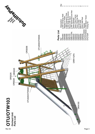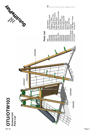





| Description | 2.0M Climbing Wall | Teepee to Tower | 2.0M Fireman's Pole<br>2.0M Slide & Entrance | Wood Infill Deck | 2.0M Tower/Ground Net                                      | <b>Tower Bracket</b> | Tower Pole Frame | Tower Bracing Bar | Curved Rail   | Side D Rail   | Climb Wall Rail | Teepee            | 2.0M Basic Tower  | Fixing Kit     |
|-------------|--------------------|-----------------|----------------------------------------------|------------------|------------------------------------------------------------|----------------------|------------------|-------------------|---------------|---------------|-----------------|-------------------|-------------------|----------------|
| a¥<br>R     | <b>DRA060</b>      | <b>DRA068</b>   |                                              |                  | ORA099<br>ORA150<br>ORD100<br>ORR112FA<br>ORS020<br>ORS025 |                      |                  | <b>DRS026</b>     | <b>DRS057</b> | <b>DRS058</b> | <b>DRS059</b>   | <b>SOOMLO/NLC</b> | <b>DTU/OTW020</b> | <b>DTU103F</b> |